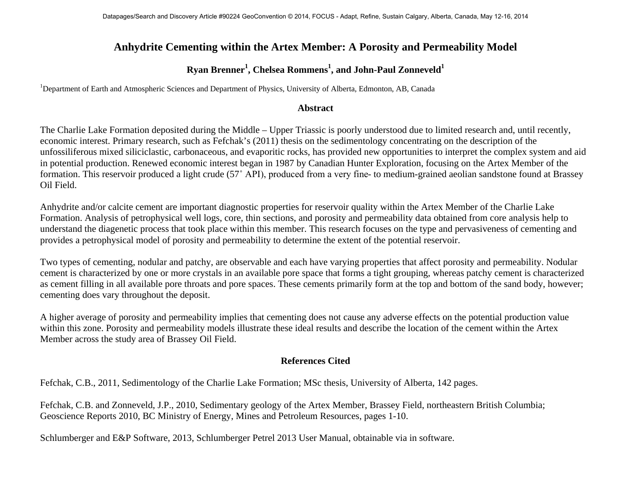## **Anhydrite Cementing within the Artex Member: A Porosity and Permeability Model**

## ${\bold R}$ yan Brenner<sup>1</sup>, Chelsea Rommens<sup>1</sup>, and John-Paul Zonneveld<sup>1</sup>

<sup>1</sup>Department of Earth and Atmospheric Sciences and Department of Physics, University of Alberta, Edmonton, AB, Canada

## **Abstract**

The Charlie Lake Formation deposited during the Middle – Upper Triassic is poorly understood due to limited research and, until recently, economic interest. Primary research, such as Fefchak's (2011) thesis on the sedimentology concentrating on the description of the unfossiliferous mixed siliciclastic, carbonaceous, and evaporitic rocks, has provided new opportunities to interpret the complex system and aid in potential production. Renewed economic interest began in 1987 by Canadian Hunter Exploration, focusing on the Artex Member of the formation. This reservoir produced a light crude (57˚ API), produced from a very fine- to medium-grained aeolian sandstone found at Brassey Oil Field.

Anhydrite and/or calcite cement are important diagnostic properties for reservoir quality within the Artex Member of the Charlie Lake Formation. Analysis of petrophysical well logs, core, thin sections, and porosity and permeability data obtained from core analysis help to understand the diagenetic process that took place within this member. This research focuses on the type and pervasiveness of cementing and provides a petrophysical model of porosity and permeability to determine the extent of the potential reservoir.

Two types of cementing, nodular and patchy, are observable and each have varying properties that affect porosity and permeability. Nodular cement is characterized by one or more crystals in an available pore space that forms a tight grouping, whereas patchy cement is characterized as cement filling in all available pore throats and pore spaces. These cements primarily form at the top and bottom of the sand body, however; cementing does vary throughout the deposit.

A higher average of porosity and permeability implies that cementing does not cause any adverse effects on the potential production value within this zone. Porosity and permeability models illustrate these ideal results and describe the location of the cement within the Artex Member across the study area of Brassey Oil Field.

## **References Cited**

Fefchak, C.B., 2011, Sedimentology of the Charlie Lake Formation; MSc thesis, University of Alberta, 142 pages.

Fefchak, C.B. and Zonneveld, J.P., 2010, Sedimentary geology of the Artex Member, Brassey Field, northeastern British Columbia; Geoscience Reports 2010, BC Ministry of Energy, Mines and Petroleum Resources, pages 1-10.

Schlumberger and E&P Software, 2013, Schlumberger Petrel 2013 User Manual, obtainable via in software.